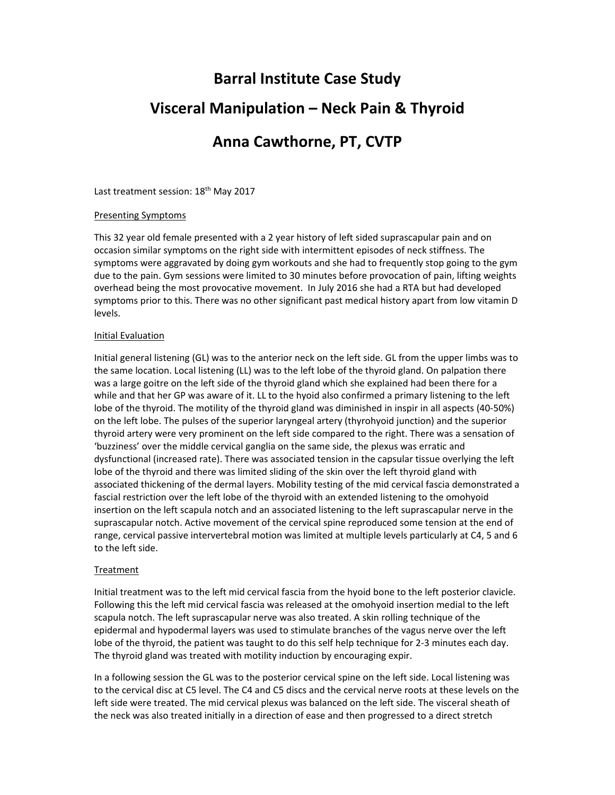# **Barral Institute Case Study Visceral Manipulation – Neck Pain & Thyroid Anna Cawthorne, PT, CVTP**

Last treatment session: 18<sup>th</sup> May 2017

### Presenting Symptoms

This 32 year old female presented with a 2 year history of left sided suprascapular pain and on occasion similar symptoms on the right side with intermittent episodes of neck stiffness. The symptoms were aggravated by doing gym workouts and she had to frequently stop going to the gym due to the pain. Gym sessions were limited to 30 minutes before provocation of pain, lifting weights overhead being the most provocative movement. In July 2016 she had a RTA but had developed symptoms prior to this. There was no other significant past medical history apart from low vitamin D levels.

### Initial Evaluation

Initial general listening (GL) was to the anterior neck on the left side. GL from the upper limbs was to the same location. Local listening (LL) was to the left lobe of the thyroid gland. On palpation there was a large goitre on the left side of the thyroid gland which she explained had been there for a while and that her GP was aware of it. LL to the hyoid also confirmed a primary listening to the left lobe of the thyroid. The motility of the thyroid gland was diminished in inspir in all aspects (40‐50%) on the left lobe. The pulses of the superior laryngeal artery (thyrohyoid junction) and the superior thyroid artery were very prominent on the left side compared to the right. There was a sensation of 'buzziness' over the middle cervical ganglia on the same side, the plexus was erratic and dysfunctional (increased rate). There was associated tension in the capsular tissue overlying the left lobe of the thyroid and there was limited sliding of the skin over the left thyroid gland with associated thickening of the dermal layers. Mobility testing of the mid cervical fascia demonstrated a fascial restriction over the left lobe of the thyroid with an extended listening to the omohyoid insertion on the left scapula notch and an associated listening to the left suprascapular nerve in the suprascapular notch. Active movement of the cervical spine reproduced some tension at the end of range, cervical passive intervertebral motion was limited at multiple levels particularly at C4, 5 and 6 to the left side.

# Treatment

Initial treatment was to the left mid cervical fascia from the hyoid bone to the left posterior clavicle. Following this the left mid cervical fascia was released at the omohyoid insertion medial to the left scapula notch. The left suprascapular nerve was also treated. A skin rolling technique of the epidermal and hypodermal layers was used to stimulate branches of the vagus nerve over the left lobe of the thyroid, the patient was taught to do this self help technique for 2‐3 minutes each day. The thyroid gland was treated with motility induction by encouraging expir.

In a following session the GL was to the posterior cervical spine on the left side. Local listening was to the cervical disc at C5 level. The C4 and C5 discs and the cervical nerve roots at these levels on the left side were treated. The mid cervical plexus was balanced on the left side. The visceral sheath of the neck was also treated initially in a direction of ease and then progressed to a direct stretch